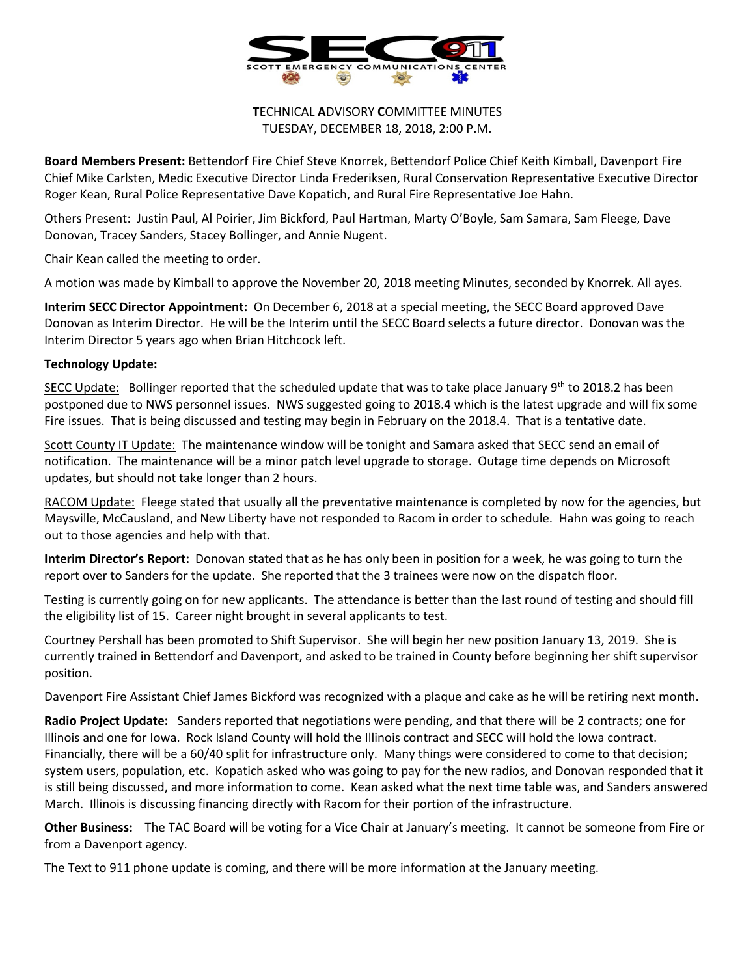

**T**ECHNICAL **A**DVISORY **C**OMMITTEE MINUTES TUESDAY, DECEMBER 18, 2018, 2:00 P.M.

**Board Members Present:** Bettendorf Fire Chief Steve Knorrek, Bettendorf Police Chief Keith Kimball, Davenport Fire Chief Mike Carlsten, Medic Executive Director Linda Frederiksen, Rural Conservation Representative Executive Director Roger Kean, Rural Police Representative Dave Kopatich, and Rural Fire Representative Joe Hahn.

Others Present: Justin Paul, Al Poirier, Jim Bickford, Paul Hartman, Marty O'Boyle, Sam Samara, Sam Fleege, Dave Donovan, Tracey Sanders, Stacey Bollinger, and Annie Nugent.

Chair Kean called the meeting to order.

A motion was made by Kimball to approve the November 20, 2018 meeting Minutes, seconded by Knorrek. All ayes.

**Interim SECC Director Appointment:** On December 6, 2018 at a special meeting, the SECC Board approved Dave Donovan as Interim Director. He will be the Interim until the SECC Board selects a future director. Donovan was the Interim Director 5 years ago when Brian Hitchcock left.

## **Technology Update:**

SECC Update: Bollinger reported that the scheduled update that was to take place January 9<sup>th</sup> to 2018.2 has been postponed due to NWS personnel issues. NWS suggested going to 2018.4 which is the latest upgrade and will fix some Fire issues. That is being discussed and testing may begin in February on the 2018.4. That is a tentative date.

Scott County IT Update: The maintenance window will be tonight and Samara asked that SECC send an email of notification. The maintenance will be a minor patch level upgrade to storage. Outage time depends on Microsoft updates, but should not take longer than 2 hours.

RACOM Update: Fleege stated that usually all the preventative maintenance is completed by now for the agencies, but Maysville, McCausland, and New Liberty have not responded to Racom in order to schedule. Hahn was going to reach out to those agencies and help with that.

**Interim Director's Report:** Donovan stated that as he has only been in position for a week, he was going to turn the report over to Sanders for the update. She reported that the 3 trainees were now on the dispatch floor.

Testing is currently going on for new applicants. The attendance is better than the last round of testing and should fill the eligibility list of 15. Career night brought in several applicants to test.

Courtney Pershall has been promoted to Shift Supervisor. She will begin her new position January 13, 2019. She is currently trained in Bettendorf and Davenport, and asked to be trained in County before beginning her shift supervisor position.

Davenport Fire Assistant Chief James Bickford was recognized with a plaque and cake as he will be retiring next month.

**Radio Project Update:** Sanders reported that negotiations were pending, and that there will be 2 contracts; one for Illinois and one for Iowa. Rock Island County will hold the Illinois contract and SECC will hold the Iowa contract. Financially, there will be a 60/40 split for infrastructure only. Many things were considered to come to that decision; system users, population, etc. Kopatich asked who was going to pay for the new radios, and Donovan responded that it is still being discussed, and more information to come. Kean asked what the next time table was, and Sanders answered March. Illinois is discussing financing directly with Racom for their portion of the infrastructure.

**Other Business:** The TAC Board will be voting for a Vice Chair at January's meeting. It cannot be someone from Fire or from a Davenport agency.

The Text to 911 phone update is coming, and there will be more information at the January meeting.